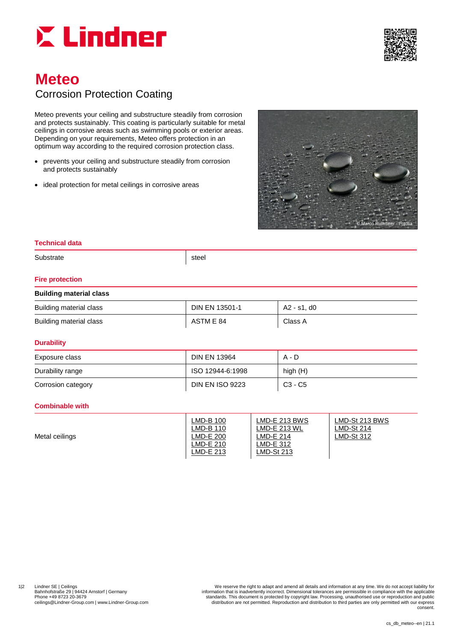



# **Meteo** Corrosion Protection Coating

Meteo prevents your ceiling and substructure steadily from corrosion and protects sustainably. This coating is particularly suitable for metal ceilings in corrosive areas such as swimming pools or exterior areas. Depending on your requirements, Meteo offers protection in an optimum way according to the required corrosion protection class.

- prevents your ceiling and substructure steadily from corrosion and protects sustainably
- ideal protection for metal ceilings in corrosive areas



### **Technical data**

Substrate steel

#### **Fire protection**

## **Building material class** Building material class **DIN EN 13501-1** A2 - s1, d0 Building material class **ACC** Class ACC ASTM E 84

#### **Durability**

| Exposure class     | <b>DIN EN 13964</b>    | A - D     |
|--------------------|------------------------|-----------|
| Durability range   | ISO 12944-6:1998       | high (H)  |
| Corrosion category | <b>DIN EN ISO 9223</b> | $C3 - C5$ |

#### **Combinable with**

|  | Metal ceilings | ∟MD-B 100<br>∟MD-B 110<br>LMD-E 200<br>LMD-E 210<br>LMD-E 213 | LMD-E 213 BWS<br>_MD-E 213 WL<br><sub>-</sub> MD-E 214<br>_MD-E 312<br>∟MD-St 213 | LMD-St 213 BWS<br>LMD-St 214<br>LMD-St 312 |
|--|----------------|---------------------------------------------------------------|-----------------------------------------------------------------------------------|--------------------------------------------|
|--|----------------|---------------------------------------------------------------|-----------------------------------------------------------------------------------|--------------------------------------------|

1|2 Lindner SE | Ceilings<br>Bahnhofstraße 29 | 94424 Arnstorf | Germany **1986**<br>Information that is inadvertently incorrect. Dimensional tolerances are permissible in compliance with the applicable<br>Phone +49 8723 20-3679 The Bahnhofstraße 29 | 94424 Arnstorf | Germany | Camany | information that is inadvertently incorrect. Dimensional tolerances are permissible in compliance with the applicable<br>Phone +49 8723 20-3679 - standards. This document ceilings@Lindner-Group.com | www.Lindner-Group.com distribution are not permitted. Reproduction and distribution to third parties are only permitted with our express consent.